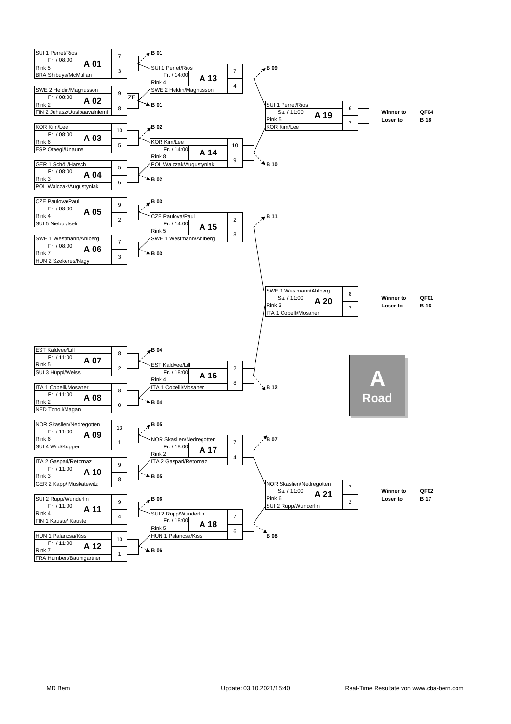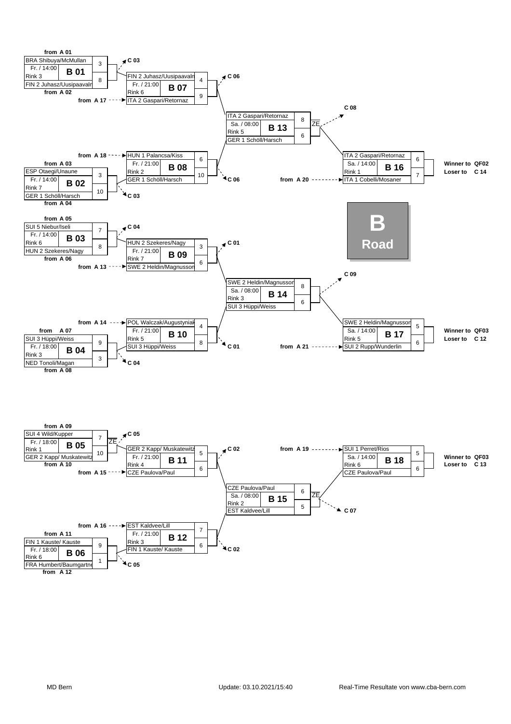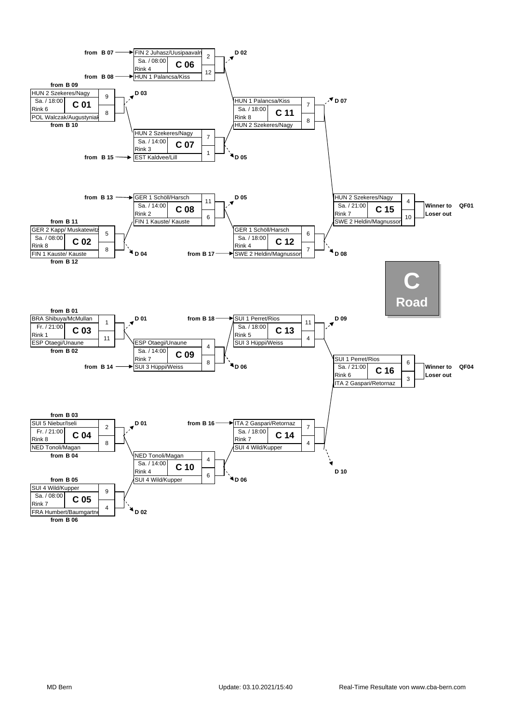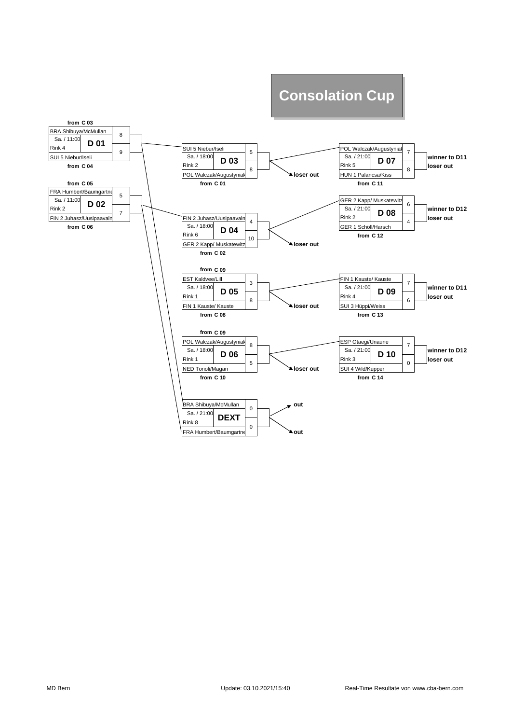